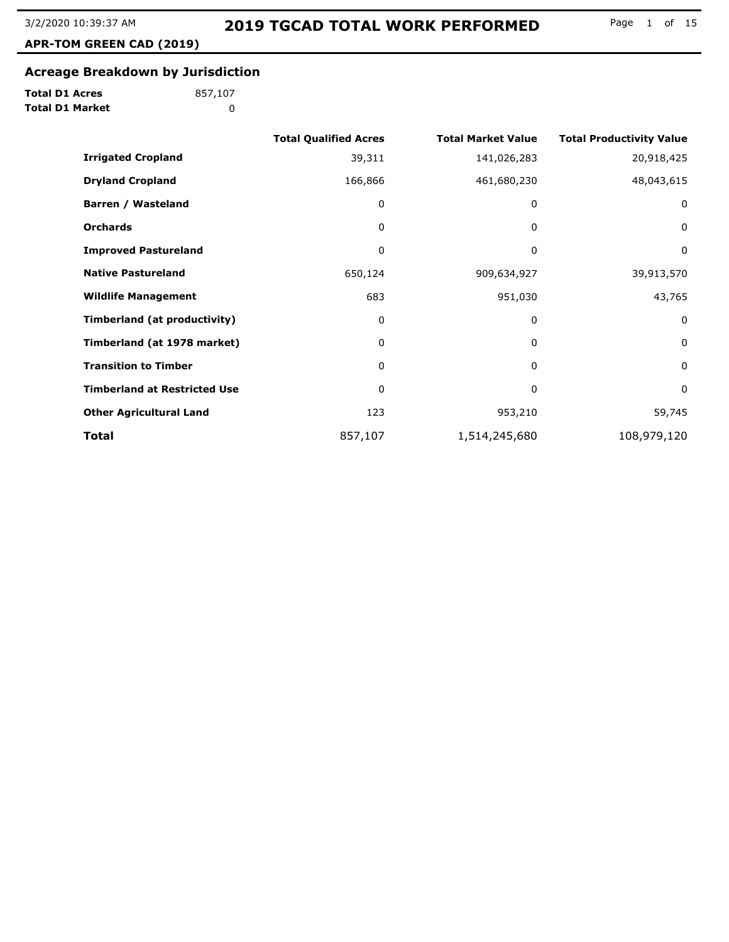**APR-TOM GREEN CAD (2019)**

# **Acreage Breakdown by Jurisdiction**

**Total D1 Acres Total D1 Market**

|                                     | <b>Total Qualified Acres</b> | <b>Total Market Value</b> | <b>Total Productivity Value</b> |
|-------------------------------------|------------------------------|---------------------------|---------------------------------|
| <b>Irrigated Cropland</b>           | 39,311                       | 141,026,283               | 20,918,425                      |
| <b>Dryland Cropland</b>             | 166,866                      | 461,680,230               | 48,043,615                      |
| <b>Barren / Wasteland</b>           | 0                            | 0                         | $\mathbf 0$                     |
| <b>Orchards</b>                     | 0                            | 0                         | $\mathbf 0$                     |
| <b>Improved Pastureland</b>         | 0                            | 0                         | 0                               |
| <b>Native Pastureland</b>           | 650,124                      | 909,634,927               | 39,913,570                      |
| <b>Wildlife Management</b>          | 683                          | 951,030                   | 43,765                          |
| Timberland (at productivity)        | 0                            | 0                         | $\mathbf 0$                     |
| Timberland (at 1978 market)         | 0                            | 0                         | $\mathbf 0$                     |
| <b>Transition to Timber</b>         | 0                            | 0                         | $\mathbf 0$                     |
| <b>Timberland at Restricted Use</b> | 0                            | 0                         | $\mathbf 0$                     |
| <b>Other Agricultural Land</b>      | 123                          | 953,210                   | 59,745                          |
| <b>Total</b>                        | 857,107                      | 1,514,245,680             | 108,979,120                     |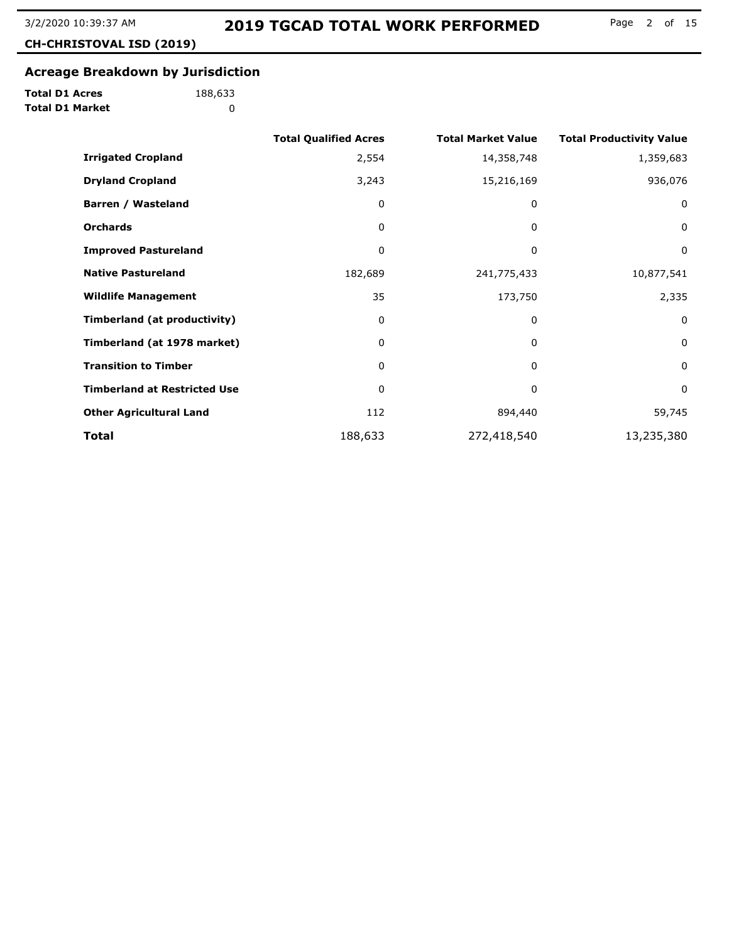**CH-CHRISTOVAL ISD (2019)**

# **Acreage Breakdown by Jurisdiction**

**Total D1 Acres Total D1 Market**

|                                     | <b>Total Qualified Acres</b> | <b>Total Market Value</b> | <b>Total Productivity Value</b> |
|-------------------------------------|------------------------------|---------------------------|---------------------------------|
| <b>Irrigated Cropland</b>           | 2,554                        | 14,358,748                | 1,359,683                       |
| <b>Dryland Cropland</b>             | 3,243                        | 15,216,169                | 936,076                         |
| Barren / Wasteland                  | 0                            | 0                         | 0                               |
| <b>Orchards</b>                     | 0                            | 0                         | $\mathbf 0$                     |
| <b>Improved Pastureland</b>         | 0                            | 0                         | 0                               |
| <b>Native Pastureland</b>           | 182,689                      | 241,775,433               | 10,877,541                      |
| <b>Wildlife Management</b>          | 35                           | 173,750                   | 2,335                           |
| <b>Timberland (at productivity)</b> | 0                            | 0                         | $\mathbf{0}$                    |
| Timberland (at 1978 market)         | 0                            | 0                         | $\mathbf 0$                     |
| <b>Transition to Timber</b>         | 0                            | 0                         | 0                               |
| <b>Timberland at Restricted Use</b> | 0                            | 0                         | $\mathbf 0$                     |
| <b>Other Agricultural Land</b>      | 112                          | 894,440                   | 59,745                          |
| Total                               | 188,633                      | 272,418,540               | 13,235,380                      |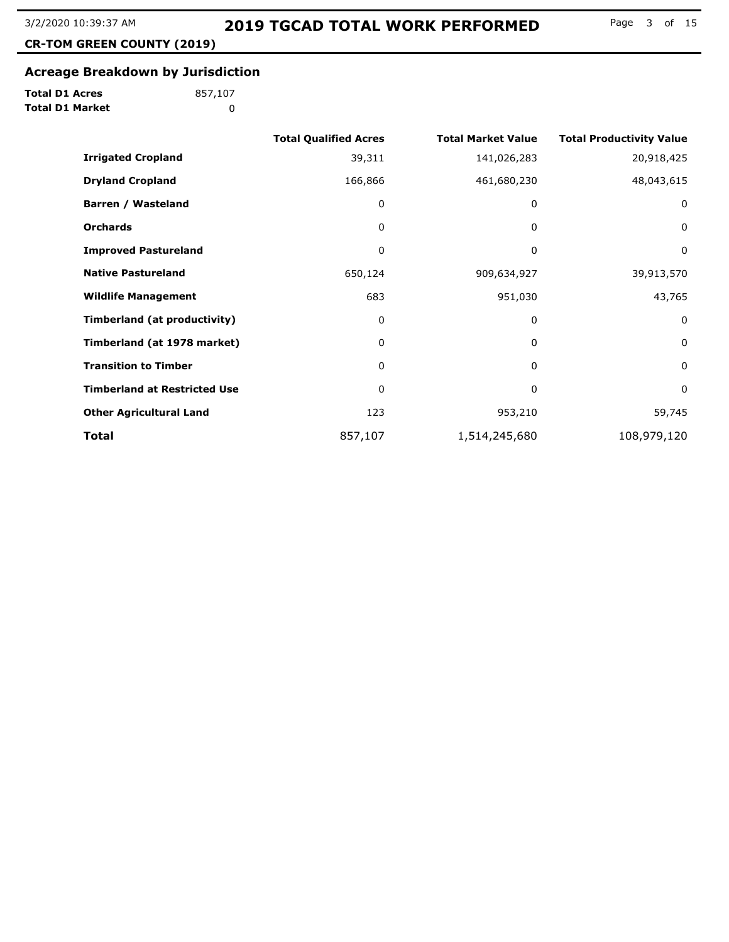**CR-TOM GREEN COUNTY (2019)**

#### **Acreage Breakdown by Jurisdiction**

**Total D1 Acres Total D1 Market**

|                                     | <b>Total Qualified Acres</b> | <b>Total Market Value</b> | <b>Total Productivity Value</b> |
|-------------------------------------|------------------------------|---------------------------|---------------------------------|
| <b>Irrigated Cropland</b>           | 39,311                       | 141,026,283               | 20,918,425                      |
| <b>Dryland Cropland</b>             | 166,866                      | 461,680,230               | 48,043,615                      |
| <b>Barren / Wasteland</b>           | 0                            | 0                         | 0                               |
| <b>Orchards</b>                     | 0                            | 0                         | $\mathbf 0$                     |
| <b>Improved Pastureland</b>         | 0                            | 0                         | 0                               |
| <b>Native Pastureland</b>           | 650,124                      | 909,634,927               | 39,913,570                      |
| <b>Wildlife Management</b>          | 683                          | 951,030                   | 43,765                          |
| Timberland (at productivity)        | 0                            | 0                         | 0                               |
| Timberland (at 1978 market)         | 0                            | $\Omega$                  | 0                               |
| <b>Transition to Timber</b>         | 0                            | 0                         | 0                               |
| <b>Timberland at Restricted Use</b> | 0                            | 0                         | $\mathbf 0$                     |
| <b>Other Agricultural Land</b>      | 123                          | 953,210                   | 59,745                          |
| Total                               | 857,107                      | 1,514,245,680             | 108,979,120                     |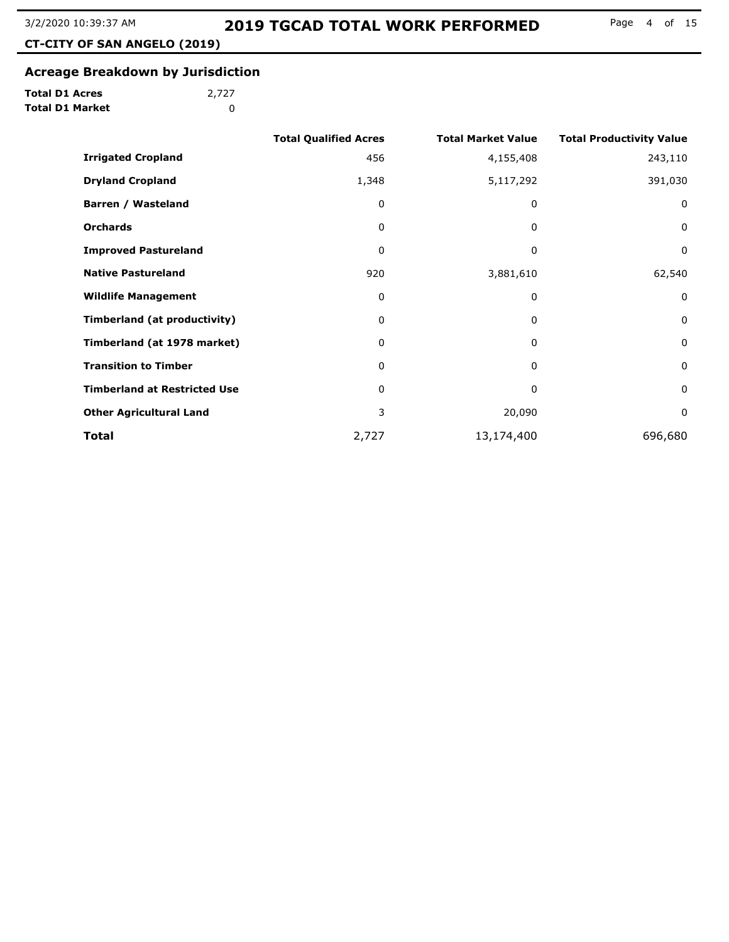**CT-CITY OF SAN ANGELO (2019)**

#### **Acreage Breakdown by Jurisdiction**

**Total D1 Acres Total D1 Market**

|                                     | <b>Total Qualified Acres</b> | <b>Total Market Value</b> | <b>Total Productivity Value</b> |
|-------------------------------------|------------------------------|---------------------------|---------------------------------|
| <b>Irrigated Cropland</b>           | 456                          | 4,155,408                 | 243,110                         |
| <b>Dryland Cropland</b>             | 1,348                        | 5,117,292                 | 391,030                         |
| Barren / Wasteland                  | 0                            | 0                         | $\mathbf 0$                     |
| <b>Orchards</b>                     | 0                            | 0                         | $\mathbf 0$                     |
| <b>Improved Pastureland</b>         | 0                            | 0                         | $\mathbf 0$                     |
| <b>Native Pastureland</b>           | 920                          | 3,881,610                 | 62,540                          |
| <b>Wildlife Management</b>          | 0                            | 0                         | $\mathbf 0$                     |
| Timberland (at productivity)        | 0                            | 0                         | $\mathbf 0$                     |
| Timberland (at 1978 market)         | 0                            | $\Omega$                  | $\mathbf 0$                     |
| <b>Transition to Timber</b>         | 0                            | 0                         | $\mathbf 0$                     |
| <b>Timberland at Restricted Use</b> | 0                            | $\Omega$                  | $\mathbf 0$                     |
| <b>Other Agricultural Land</b>      | 3                            | 20,090                    | $\mathbf 0$                     |
| Total                               | 2,727                        | 13,174,400                | 696,680                         |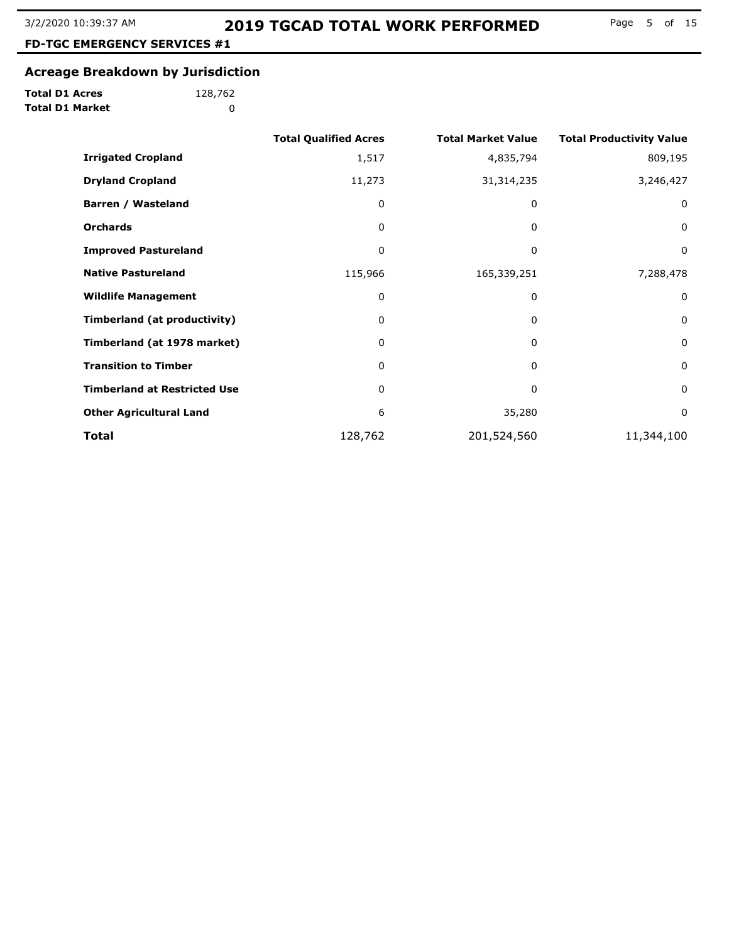Page 5 of 15

**FD-TGC EMERGENCY SERVICES #1**

#### **Acreage Breakdown by Jurisdiction**

**Total D1 Acres Total D1 Market**

**(2019)**

|                                     | <b>Total Qualified Acres</b> | <b>Total Market Value</b> | <b>Total Productivity Value</b> |
|-------------------------------------|------------------------------|---------------------------|---------------------------------|
| <b>Irrigated Cropland</b>           | 1,517                        | 4,835,794                 | 809,195                         |
| <b>Dryland Cropland</b>             | 11,273                       | 31,314,235                | 3,246,427                       |
| Barren / Wasteland                  | 0                            | 0                         | 0                               |
| <b>Orchards</b>                     | 0                            | 0                         | 0                               |
| <b>Improved Pastureland</b>         | 0                            | 0                         | 0                               |
| <b>Native Pastureland</b>           | 115,966                      | 165,339,251               | 7,288,478                       |
| <b>Wildlife Management</b>          | 0                            | 0                         | $\mathbf 0$                     |
| Timberland (at productivity)        | 0                            | 0                         | $\mathbf 0$                     |
| Timberland (at 1978 market)         | 0                            | 0                         | $\mathbf 0$                     |
| <b>Transition to Timber</b>         | 0                            | 0                         | $\mathbf 0$                     |
| <b>Timberland at Restricted Use</b> | 0                            | 0                         | $\mathbf 0$                     |
| <b>Other Agricultural Land</b>      | 6                            | 35,280                    | $\mathbf 0$                     |
| <b>Total</b>                        | 128,762                      | 201,524,560               | 11,344,100                      |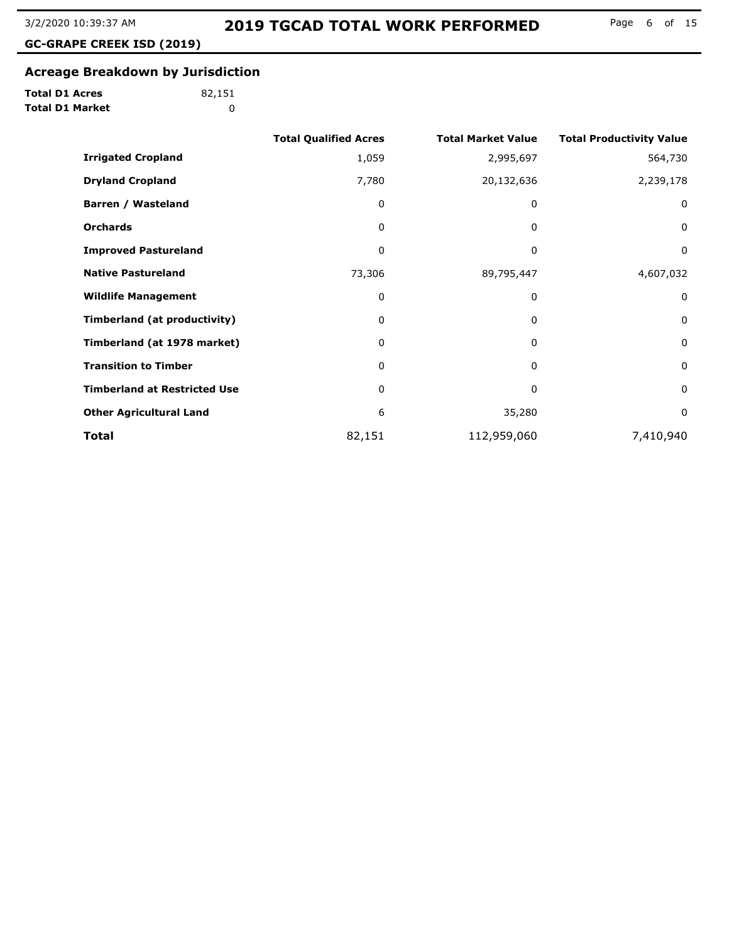**GC-GRAPE CREEK ISD (2019)**

# **Acreage Breakdown by Jurisdiction**

**Total D1 Acres Total D1 Market**

|                                     | <b>Total Qualified Acres</b> | <b>Total Market Value</b> | <b>Total Productivity Value</b> |
|-------------------------------------|------------------------------|---------------------------|---------------------------------|
| <b>Irrigated Cropland</b>           | 1,059                        | 2,995,697                 | 564,730                         |
| <b>Dryland Cropland</b>             | 7,780                        | 20,132,636                | 2,239,178                       |
| Barren / Wasteland                  | 0                            | 0                         | 0                               |
| <b>Orchards</b>                     | 0                            | 0                         | 0                               |
| <b>Improved Pastureland</b>         | 0                            | 0                         | $\mathbf 0$                     |
| <b>Native Pastureland</b>           | 73,306                       | 89,795,447                | 4,607,032                       |
| <b>Wildlife Management</b>          | 0                            | 0                         | $\mathbf 0$                     |
| Timberland (at productivity)        | 0                            | 0                         | 0                               |
| Timberland (at 1978 market)         | 0                            | 0                         | $\mathbf 0$                     |
| <b>Transition to Timber</b>         | 0                            | $\Omega$                  | $\mathbf 0$                     |
| <b>Timberland at Restricted Use</b> | 0                            | 0                         | $\mathbf 0$                     |
| <b>Other Agricultural Land</b>      | 6                            | 35,280                    | $\mathbf 0$                     |
| Total                               | 82,151                       | 112,959,060               | 7,410,940                       |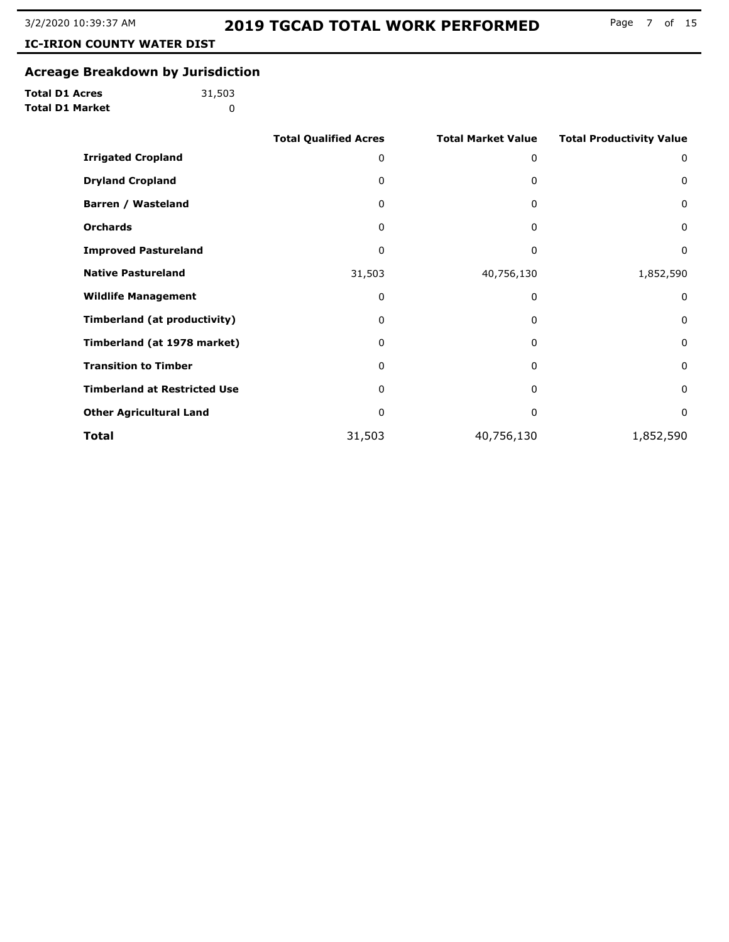**IC-IRION COUNTY WATER DIST**

#### **Acreage Breakdown by Jurisdiction**

**Total D1 Acres Total D1 Market**

**(2019)**

|                                     | <b>Total Qualified Acres</b> | <b>Total Market Value</b> | <b>Total Productivity Value</b> |
|-------------------------------------|------------------------------|---------------------------|---------------------------------|
| <b>Irrigated Cropland</b>           | 0                            | 0                         | 0                               |
| <b>Dryland Cropland</b>             | 0                            | 0                         | 0                               |
| Barren / Wasteland                  | 0                            | 0                         | $\mathbf 0$                     |
| <b>Orchards</b>                     | 0                            | 0                         | $\mathbf 0$                     |
| <b>Improved Pastureland</b>         | 0                            | 0                         | 0                               |
| <b>Native Pastureland</b>           | 31,503                       | 40,756,130                | 1,852,590                       |
| <b>Wildlife Management</b>          | 0                            | 0                         | 0                               |
| <b>Timberland (at productivity)</b> | 0                            | 0                         | $\mathbf 0$                     |
| Timberland (at 1978 market)         | 0                            | 0                         | $\mathbf{0}$                    |
| <b>Transition to Timber</b>         | 0                            | 0                         | $\mathbf 0$                     |
| <b>Timberland at Restricted Use</b> | 0                            | 0                         | $\mathbf 0$                     |
| <b>Other Agricultural Land</b>      | 0                            | 0                         | $\mathbf 0$                     |
| Total                               | 31,503                       | 40,756,130                | 1,852,590                       |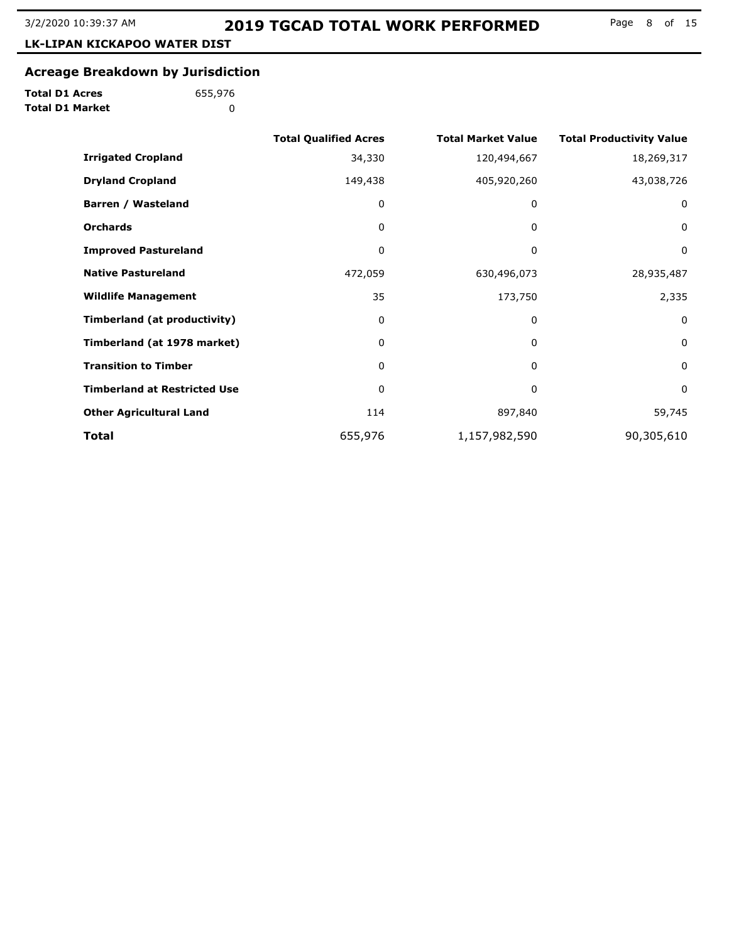**LK-LIPAN KICKAPOO WATER DIST**

#### **Acreage Breakdown by Jurisdiction**

**Total D1 Acres Total D1 Market**

**(2019)**

|                                     | <b>Total Qualified Acres</b> | <b>Total Market Value</b> | <b>Total Productivity Value</b> |
|-------------------------------------|------------------------------|---------------------------|---------------------------------|
| <b>Irrigated Cropland</b>           | 34,330                       | 120,494,667               | 18,269,317                      |
| <b>Dryland Cropland</b>             | 149,438                      | 405,920,260               | 43,038,726                      |
| Barren / Wasteland                  | 0                            | 0                         | 0                               |
| <b>Orchards</b>                     | 0                            | 0                         | $\mathbf 0$                     |
| <b>Improved Pastureland</b>         | 0                            | 0                         | 0                               |
| <b>Native Pastureland</b>           | 472,059                      | 630,496,073               | 28,935,487                      |
| <b>Wildlife Management</b>          | 35                           | 173,750                   | 2,335                           |
| Timberland (at productivity)        | 0                            | 0                         | 0                               |
| Timberland (at 1978 market)         | 0                            | 0                         | 0                               |
| <b>Transition to Timber</b>         | 0                            | 0                         | 0                               |
| <b>Timberland at Restricted Use</b> | 0                            | 0                         | 0                               |
| <b>Other Agricultural Land</b>      | 114                          | 897,840                   | 59,745                          |
| Total                               | 655,976                      | 1,157,982,590             | 90,305,610                      |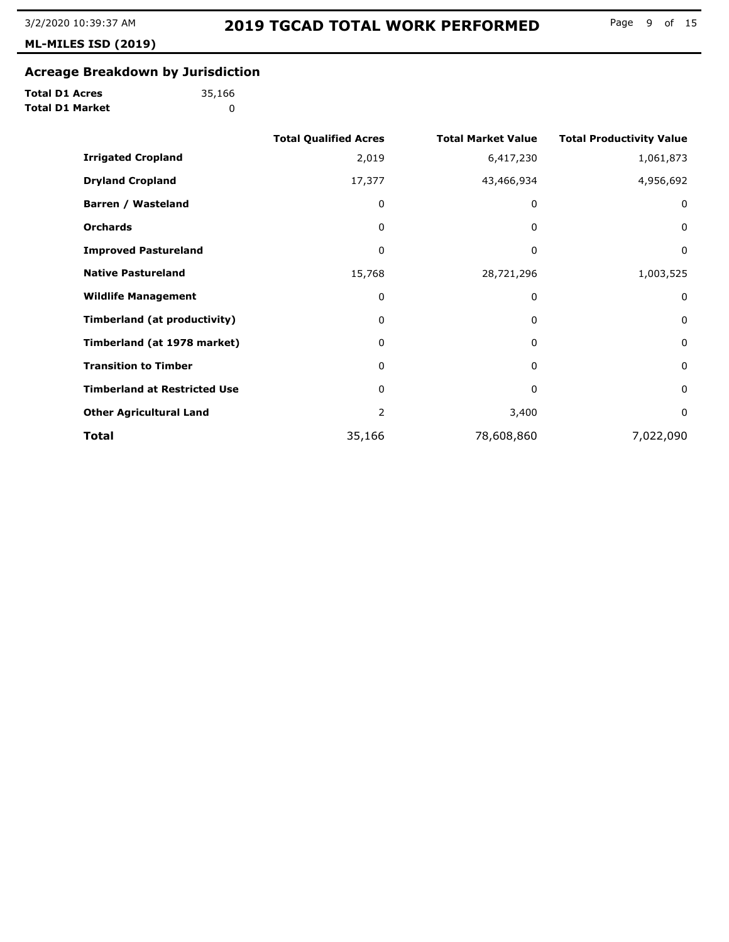**ML-MILES ISD (2019)**

# **Acreage Breakdown by Jurisdiction**

**Total D1 Acres Total D1 Market**

|                                     | <b>Total Qualified Acres</b> | <b>Total Market Value</b> | <b>Total Productivity Value</b> |
|-------------------------------------|------------------------------|---------------------------|---------------------------------|
| <b>Irrigated Cropland</b>           | 2,019                        | 6,417,230                 | 1,061,873                       |
| <b>Dryland Cropland</b>             | 17,377                       | 43,466,934                | 4,956,692                       |
| Barren / Wasteland                  | 0                            | 0                         | $\mathbf 0$                     |
| <b>Orchards</b>                     | 0                            | 0                         | $\mathbf 0$                     |
| <b>Improved Pastureland</b>         | 0                            | 0                         | 0                               |
| <b>Native Pastureland</b>           | 15,768                       | 28,721,296                | 1,003,525                       |
| <b>Wildlife Management</b>          | 0                            | 0                         | 0                               |
| Timberland (at productivity)        | 0                            | 0                         | $\mathbf 0$                     |
| Timberland (at 1978 market)         | 0                            | 0                         | $\mathbf 0$                     |
| <b>Transition to Timber</b>         | 0                            | 0                         | 0                               |
| <b>Timberland at Restricted Use</b> | 0                            | 0                         | $\mathbf 0$                     |
| <b>Other Agricultural Land</b>      | 2                            | 3,400                     | 0                               |
| Total                               | 35,166                       | 78,608,860                | 7,022,090                       |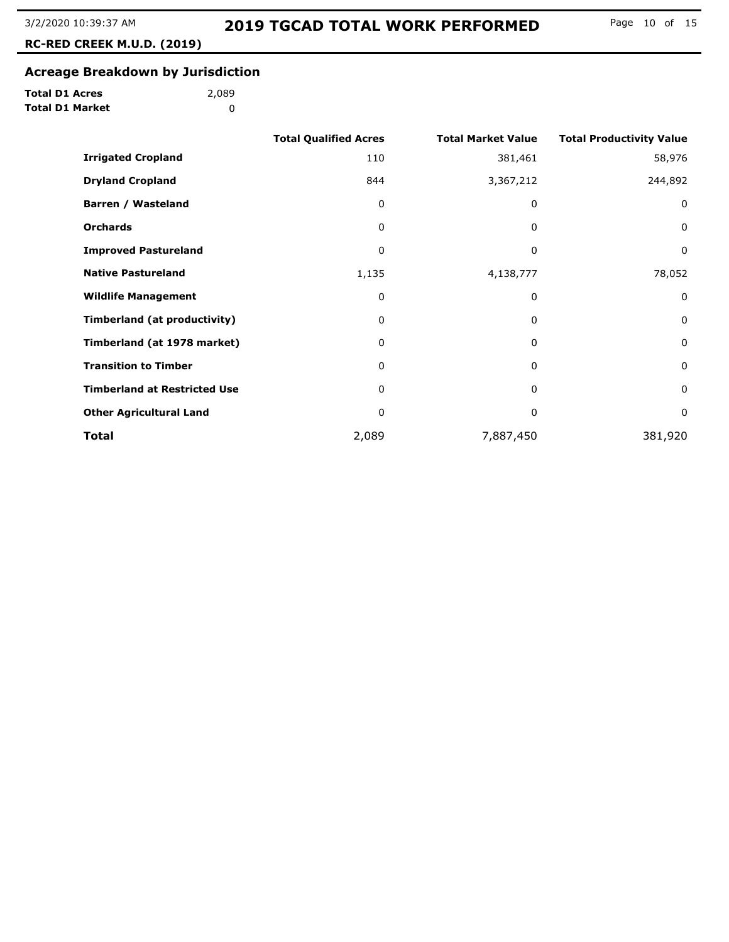**RC-RED CREEK M.U.D. (2019)**

# **Acreage Breakdown by Jurisdiction**

|  | <b>Total D1 Acres</b>  |
|--|------------------------|
|  | <b>Total D1 Market</b> |

|                                     | <b>Total Qualified Acres</b> | <b>Total Market Value</b> | <b>Total Productivity Value</b> |
|-------------------------------------|------------------------------|---------------------------|---------------------------------|
| <b>Irrigated Cropland</b>           | 110                          | 381,461                   | 58,976                          |
| <b>Dryland Cropland</b>             | 844                          | 3,367,212                 | 244,892                         |
| Barren / Wasteland                  | 0                            | 0                         | $\mathbf 0$                     |
| <b>Orchards</b>                     | 0                            | 0                         | $\mathbf 0$                     |
| <b>Improved Pastureland</b>         | 0                            | 0                         | 0                               |
| <b>Native Pastureland</b>           | 1,135                        | 4,138,777                 | 78,052                          |
| <b>Wildlife Management</b>          | 0                            | 0                         | $\mathbf 0$                     |
| Timberland (at productivity)        | 0                            | 0                         | $\mathbf 0$                     |
| Timberland (at 1978 market)         | 0                            | 0                         | $\mathbf 0$                     |
| <b>Transition to Timber</b>         | 0                            | 0                         | $\mathbf 0$                     |
| <b>Timberland at Restricted Use</b> | 0                            | 0                         | $\mathbf 0$                     |
| <b>Other Agricultural Land</b>      | 0                            | 0                         | $\mathbf 0$                     |
| <b>Total</b>                        | 2,089                        | 7,887,450                 | 381,920                         |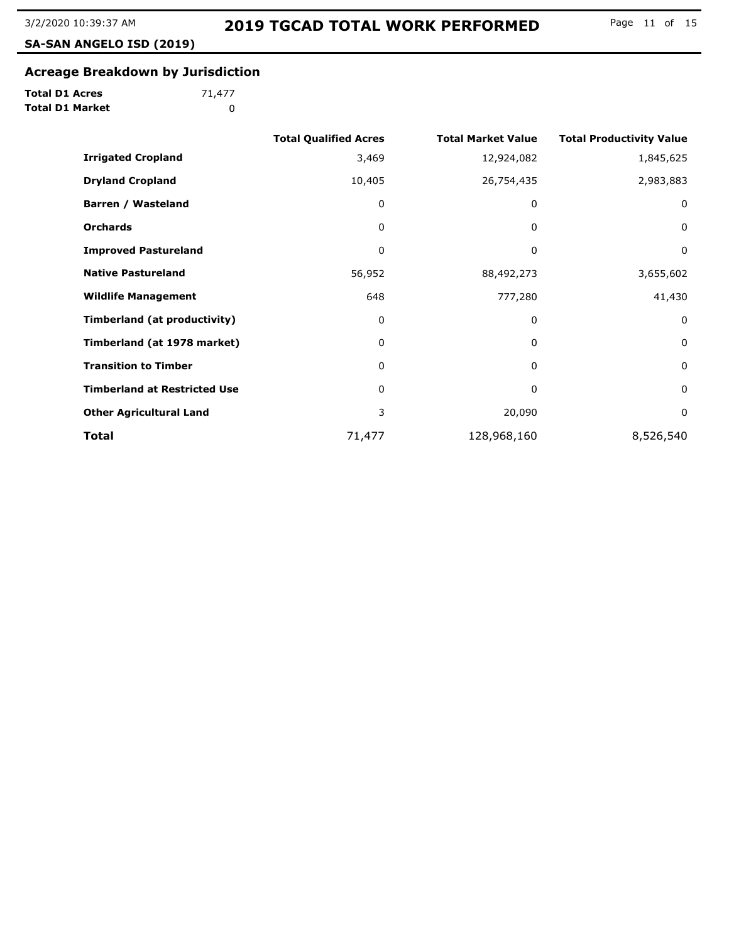**SA-SAN ANGELO ISD (2019)**

# **Acreage Breakdown by Jurisdiction**

**Total D1 Acres Total D1 Market**

|                                     | <b>Total Qualified Acres</b> | <b>Total Market Value</b> | <b>Total Productivity Value</b> |
|-------------------------------------|------------------------------|---------------------------|---------------------------------|
| <b>Irrigated Cropland</b>           | 3,469                        | 12,924,082                | 1,845,625                       |
| <b>Dryland Cropland</b>             | 10,405                       | 26,754,435                | 2,983,883                       |
| Barren / Wasteland                  | 0                            | 0                         | 0                               |
| <b>Orchards</b>                     | 0                            | 0                         | 0                               |
| <b>Improved Pastureland</b>         | 0                            | 0                         | 0                               |
| <b>Native Pastureland</b>           | 56,952                       | 88,492,273                | 3,655,602                       |
| <b>Wildlife Management</b>          | 648                          | 777,280                   | 41,430                          |
| <b>Timberland (at productivity)</b> | 0                            | 0                         | 0                               |
| Timberland (at 1978 market)         | 0                            | $\Omega$                  | $\mathbf 0$                     |
| <b>Transition to Timber</b>         | $\mathbf{0}$                 | 0                         | 0                               |
| <b>Timberland at Restricted Use</b> | 0                            | 0                         | $\mathbf 0$                     |
| <b>Other Agricultural Land</b>      | 3                            | 20,090                    | 0                               |
| Total                               | 71,477                       | 128,968,160               | 8,526,540                       |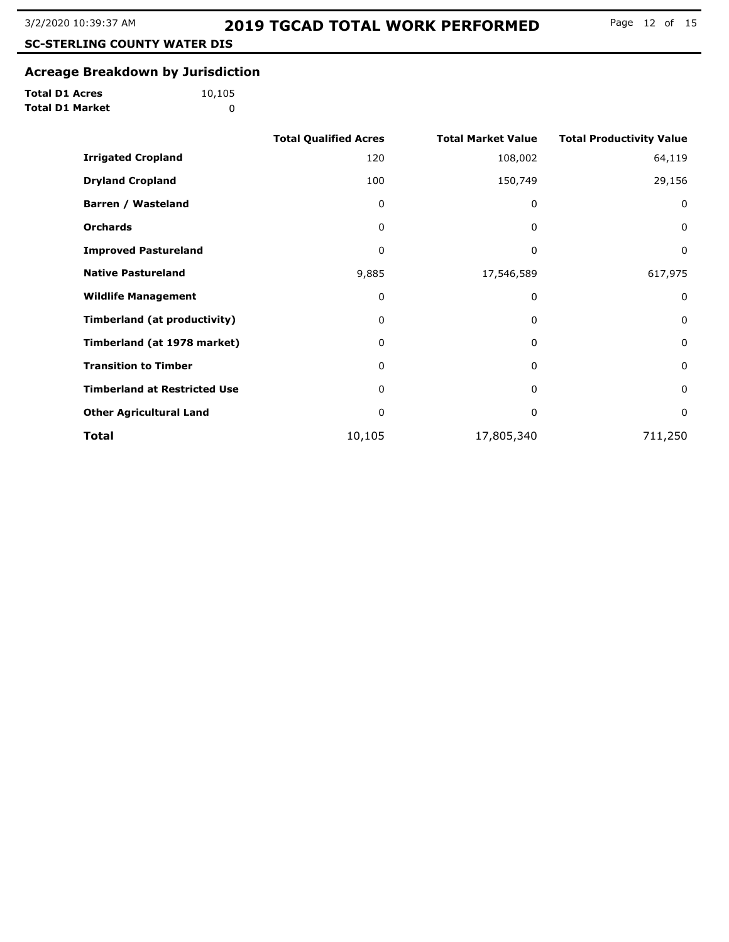**SC-STERLING COUNTY WATER DIS**

#### **Acreage Breakdown by Jurisdiction**

**Total D1 Acres Total D1 Market**

**(2019)**

|                                     | <b>Total Qualified Acres</b> | <b>Total Market Value</b> | <b>Total Productivity Value</b> |
|-------------------------------------|------------------------------|---------------------------|---------------------------------|
| <b>Irrigated Cropland</b>           | 120                          | 108,002                   | 64,119                          |
| <b>Dryland Cropland</b>             | 100                          | 150,749                   | 29,156                          |
| Barren / Wasteland                  | 0                            | 0                         | $\mathbf 0$                     |
| <b>Orchards</b>                     | 0                            | $\mathbf{0}$              | $\mathbf 0$                     |
| <b>Improved Pastureland</b>         | 0                            | 0                         | $\mathbf 0$                     |
| <b>Native Pastureland</b>           | 9,885                        | 17,546,589                | 617,975                         |
| <b>Wildlife Management</b>          | 0                            | 0                         | $\mathbf 0$                     |
| <b>Timberland (at productivity)</b> | 0                            | 0                         | $\mathbf 0$                     |
| Timberland (at 1978 market)         | 0                            | $\Omega$                  | 0                               |
| <b>Transition to Timber</b>         | 0                            | 0                         | 0                               |
| <b>Timberland at Restricted Use</b> | 0                            | 0                         | $\mathbf 0$                     |
| <b>Other Agricultural Land</b>      | 0                            | 0                         | $\mathbf 0$                     |
| Total                               | 10,105                       | 17,805,340                | 711,250                         |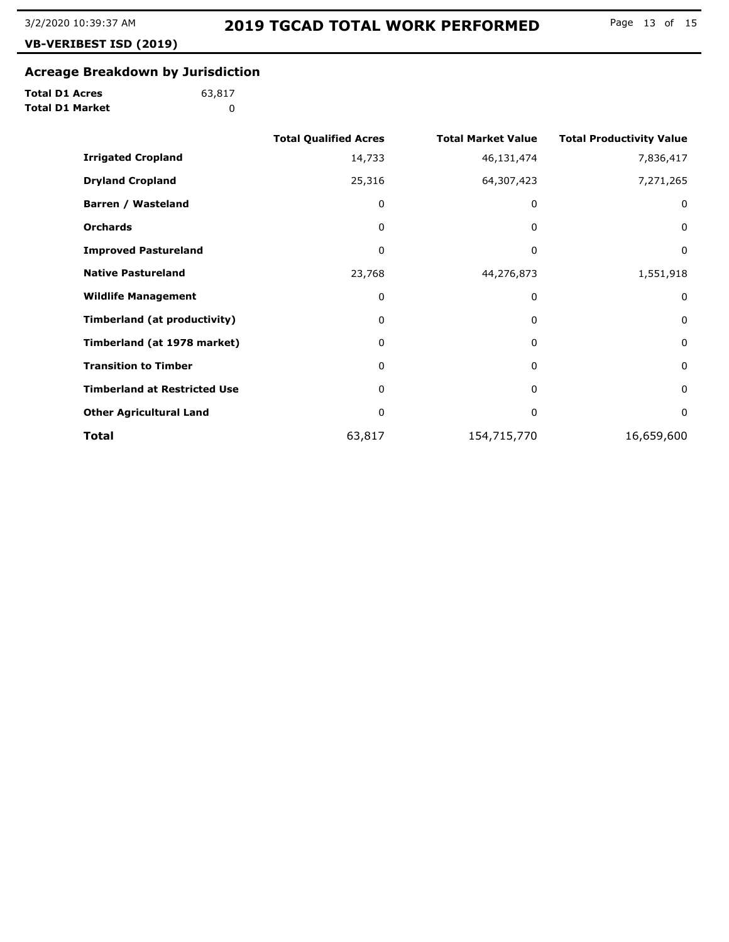**VB-VERIBEST ISD (2019)**

# **Acreage Breakdown by Jurisdiction**

**Total D1 Acres Total D1 Market**

|                                     | <b>Total Qualified Acres</b> | <b>Total Market Value</b> | <b>Total Productivity Value</b> |
|-------------------------------------|------------------------------|---------------------------|---------------------------------|
| <b>Irrigated Cropland</b>           | 14,733                       | 46,131,474                | 7,836,417                       |
| <b>Dryland Cropland</b>             | 25,316                       | 64,307,423                | 7,271,265                       |
| Barren / Wasteland                  | 0                            | 0                         | 0                               |
| <b>Orchards</b>                     | 0                            | 0                         | 0                               |
| <b>Improved Pastureland</b>         | 0                            | 0                         | 0                               |
| <b>Native Pastureland</b>           | 23,768                       | 44,276,873                | 1,551,918                       |
| <b>Wildlife Management</b>          | 0                            | 0                         | 0                               |
| Timberland (at productivity)        | 0                            | 0                         | 0                               |
| Timberland (at 1978 market)         | 0                            | 0                         | $\mathbf 0$                     |
| <b>Transition to Timber</b>         | 0                            | 0                         | 0                               |
| <b>Timberland at Restricted Use</b> | 0                            | 0                         | $\mathbf 0$                     |
| <b>Other Agricultural Land</b>      | 0                            | 0                         | 0                               |
| Total                               | 63,817                       | 154,715,770               | 16,659,600                      |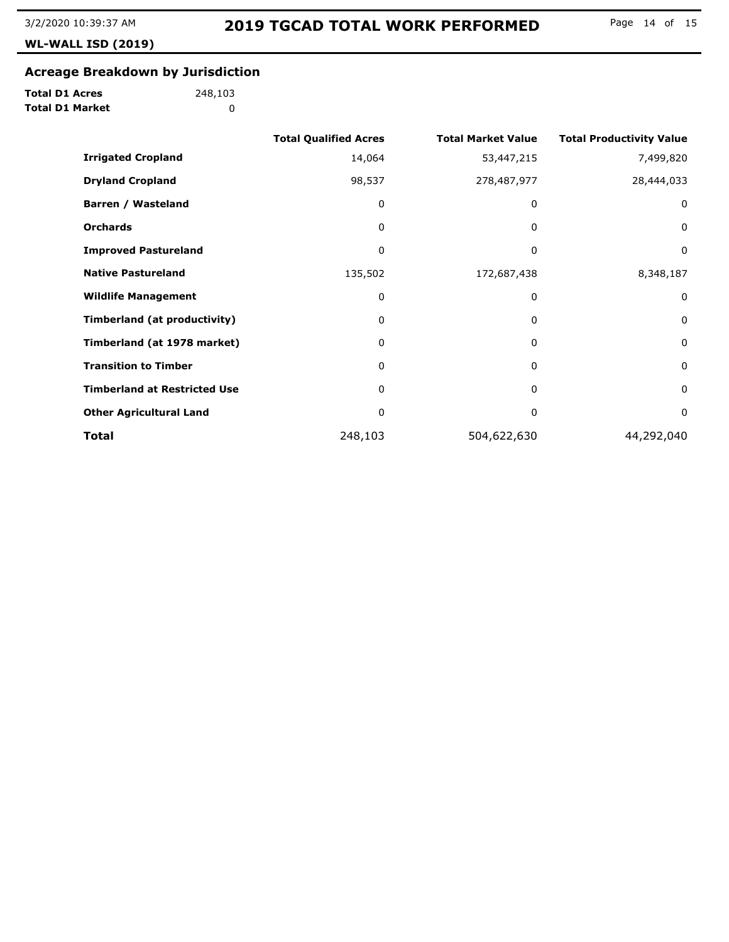**WL-WALL ISD (2019)**

# **Acreage Breakdown by Jurisdiction**

**Total D1 Acres Total D1 Market**

|                                     | <b>Total Qualified Acres</b> | <b>Total Market Value</b> | <b>Total Productivity Value</b> |
|-------------------------------------|------------------------------|---------------------------|---------------------------------|
| <b>Irrigated Cropland</b>           | 14,064                       | 53,447,215                | 7,499,820                       |
| <b>Dryland Cropland</b>             | 98,537                       | 278,487,977               | 28,444,033                      |
| Barren / Wasteland                  | 0                            | 0                         | 0                               |
| <b>Orchards</b>                     | 0                            | 0                         | 0                               |
| <b>Improved Pastureland</b>         | 0                            | 0                         | 0                               |
| <b>Native Pastureland</b>           | 135,502                      | 172,687,438               | 8,348,187                       |
| <b>Wildlife Management</b>          | 0                            | 0                         | 0                               |
| <b>Timberland (at productivity)</b> | 0                            | 0                         | 0                               |
| Timberland (at 1978 market)         | 0                            | 0                         | 0                               |
| <b>Transition to Timber</b>         | 0                            | 0                         | 0                               |
| <b>Timberland at Restricted Use</b> | 0                            | 0                         | $\mathbf 0$                     |
| <b>Other Agricultural Land</b>      | 0                            | 0                         | 0                               |
| Total                               | 248,103                      | 504,622,630               | 44,292,040                      |